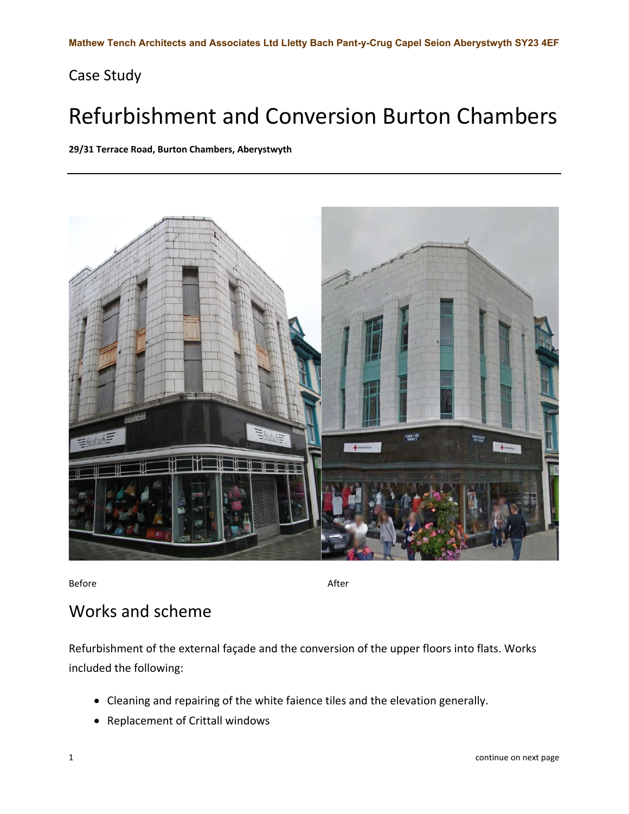## Case Study

## Refurbishment and Conversion Burton Chambers

**29/31 Terrace Road, Burton Chambers, Aberystwyth**



Before After Accounts and the Before After

## Works and scheme

Refurbishment of the external façade and the conversion of the upper floors into flats. Works included the following:

- Cleaning and repairing of the white faience tiles and the elevation generally.
- Replacement of Crittall windows